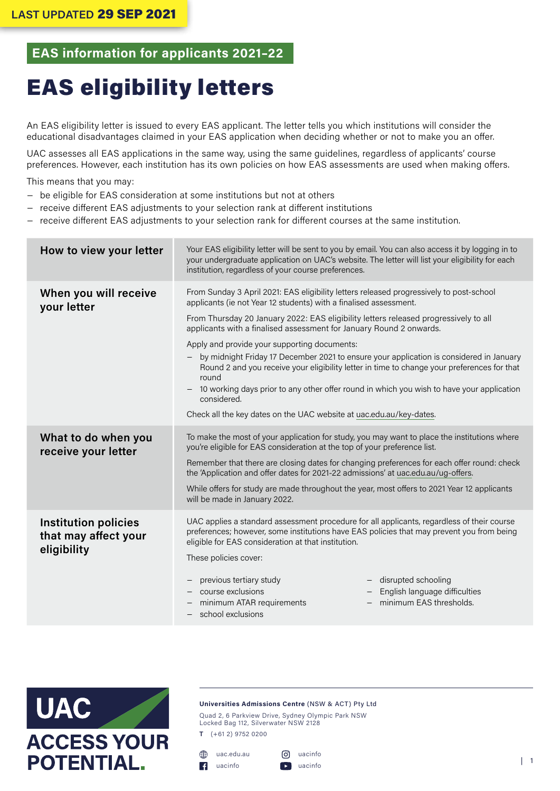## **EAS information for applicants 2021–22**

# EAS eligibility letters

An EAS eligibility letter is issued to every EAS applicant. The letter tells you which institutions will consider the educational disadvantages claimed in your EAS application when deciding whether or not to make you an offer.

UAC assesses all EAS applications in the same way, using the same guidelines, regardless of applicants' course preferences. However, each institution has its own policies on how EAS assessments are used when making offers.

This means that you may:

- − be eligible for EAS consideration at some institutions but not at others
- receive different EAS adjustments to your selection rank at different institutions
- receive different EAS adjustments to your selection rank for different courses at the same institution.

| How to view your letter                                            | Your EAS eligibility letter will be sent to you by email. You can also access it by logging in to<br>your undergraduate application on UAC's website. The letter will list your eligibility for each<br>institution, regardless of your course preferences.                                                                                                                                                                                                                                                                                                                                                                                                                                                                                                       |  |
|--------------------------------------------------------------------|-------------------------------------------------------------------------------------------------------------------------------------------------------------------------------------------------------------------------------------------------------------------------------------------------------------------------------------------------------------------------------------------------------------------------------------------------------------------------------------------------------------------------------------------------------------------------------------------------------------------------------------------------------------------------------------------------------------------------------------------------------------------|--|
| When you will receive<br>your letter                               | From Sunday 3 April 2021: EAS eligibility letters released progressively to post-school<br>applicants (ie not Year 12 students) with a finalised assessment.<br>From Thursday 20 January 2022: EAS eligibility letters released progressively to all<br>applicants with a finalised assessment for January Round 2 onwards.<br>Apply and provide your supporting documents:<br>by midnight Friday 17 December 2021 to ensure your application is considered in January<br>Round 2 and you receive your eligibility letter in time to change your preferences for that<br>round<br>10 working days prior to any other offer round in which you wish to have your application<br>considered.<br>Check all the key dates on the UAC website at uac.edu.au/key-dates. |  |
| What to do when you<br>receive your letter                         | To make the most of your application for study, you may want to place the institutions where<br>you're eligible for EAS consideration at the top of your preference list.<br>Remember that there are closing dates for changing preferences for each offer round: check<br>the 'Application and offer dates for 2021-22 admissions' at uac.edu.au/ug-offers.<br>While offers for study are made throughout the year, most offers to 2021 Year 12 applicants<br>will be made in January 2022.                                                                                                                                                                                                                                                                      |  |
| <b>Institution policies</b><br>that may affect your<br>eligibility | UAC applies a standard assessment procedure for all applicants, regardless of their course<br>preferences; however, some institutions have EAS policies that may prevent you from being<br>eligible for EAS consideration at that institution.<br>These policies cover:<br>disrupted schooling<br>previous tertiary study<br>course exclusions<br>English language difficulties<br>minimum EAS thresholds.<br>minimum ATAR requirements<br>school exclusions                                                                                                                                                                                                                                                                                                      |  |



#### **Universities Admissions Centre** (NSW & ACT) Pty Ltd

Quad 2, 6 Parkview Drive, Sydney Olympic Park NSW Locked Bag 112, Silverwater NSW 2128

**T** (+61 2) 9752 0200